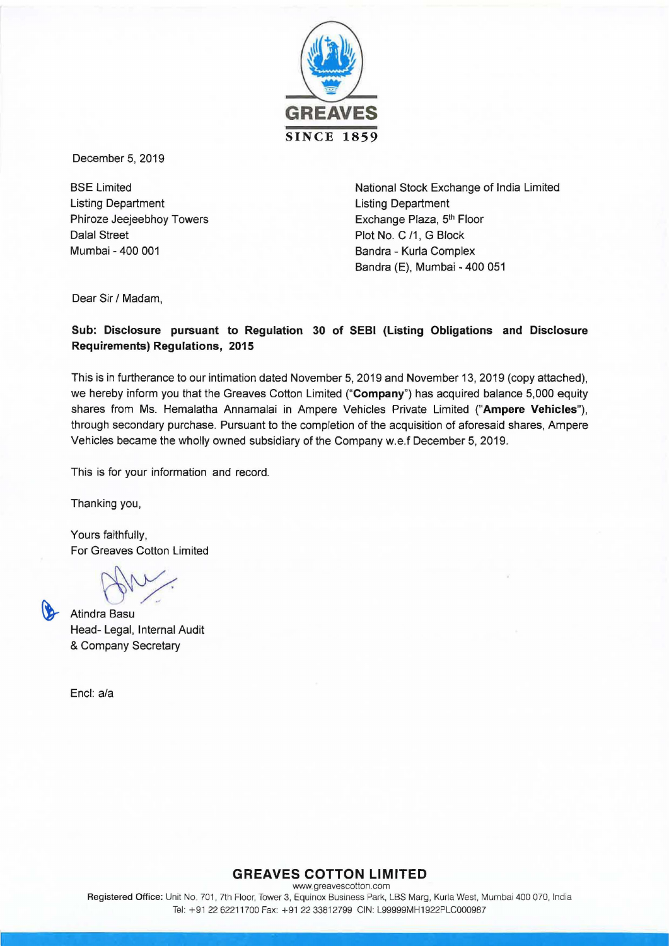

December 5, 2019

BSE Limited Listing Department Phiroze Jeejeebhoy Towers Dalal Street Mumbai - 400 001

National Stock Exchange of India Limited Listing Department Exchange Plaza, 5<sup>th</sup> Floor Plot No. C /1, G Block Sandra - Kurla Complex Sandra (E), Mumbai - 400 051

Dear Sir / Madam,

## Sub: Disclosure pursuant to Regulation 30 of SEBI (Listing Obligations and Disclosure Requirements) Regulations, 2015

This is in furtherance to our intimation dated November 5, 2019 and November 13, 2019 (copy attached), we hereby inform you that the Greaves Cotton Limited ("Company") has acquired balance 5,000 equity shares from Ms. Hemalatha Annamalai in Ampere Vehicles Private Limited ("Ampere Vehicles"), through secondary purchase. Pursuant to the completion of the acquisition of aforesaid shares, Ampere Vehicles became the wholly owned subsidiary of the Company w.e.f December 5, 2019.

This is for your information and record.

Thanking you,

Yours faithfully, For Greaves Cotton Limited

Atindra Basu Head- Legal, Internal Audit & Company Secretary

Encl: a/a

### **GREAVES COTTON LIMITED** www.greavescotton.com Registered Office: Unit No. 701, 7th Floor, Tower 3, Equinox Business Park, LBS Marg, Kurla West, Mumbai 400 070, India Tel: +91 22 62211700 Fax: +91 22 3381 2799 CIN: L99999MH1922PLC000987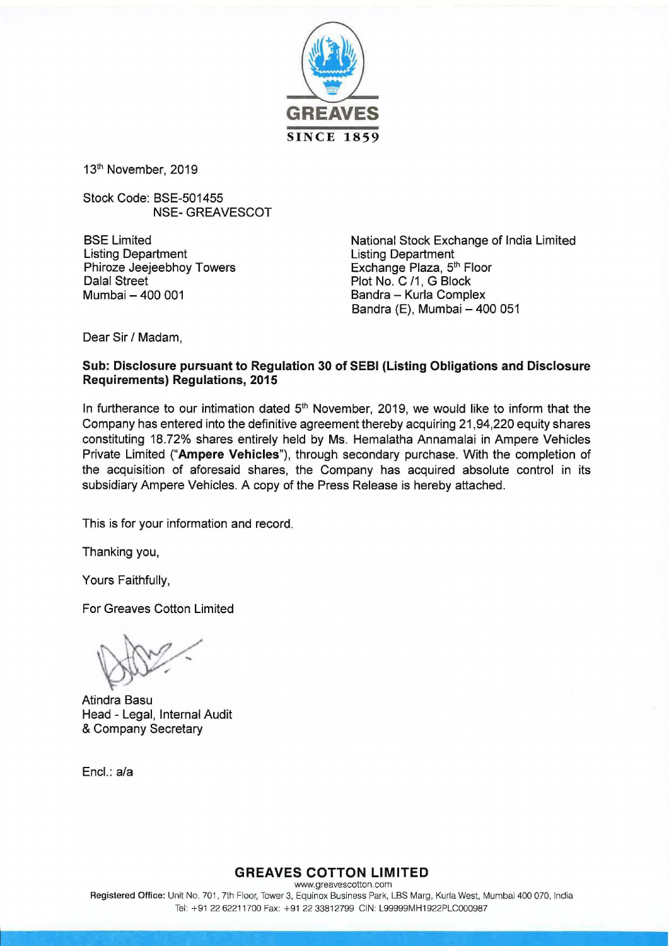

13<sup>th</sup> November, 2019

Stock Code: BSE-501455 NSE-GREAVESCOT

BSE Limited Listing Department Phiroze Jeejeebhoy Towers Dalal Street Mumbai- 400 001

National Stock Exchange of India Limited Listing Department Exchange Plaza, 5<sup>th</sup> Floor Plot No. C /1, G Block Bandra - Kurla Complex Bandra (E), Mumbai - 400 051

Dear Sir / Madam,

## **Sub: Disclosure pursuant to Regulation 30 of SEBI {Listing Obligations and Disclosure Requirements) Regulations, 2015**

In furtherance to our intimation dated  $5<sup>th</sup>$  November, 2019, we would like to inform that the Company has entered into the definitive agreement thereby acquiring 21,94,220 equity shares constituting 18.72% shares entirely held by Ms. Hemalatha Annamalai in Ampere Vehicles Private Limited **("Ampere Vehicles"),** through secondary purchase. With the completion of the acquisition of aforesaid shares, the Company has acquired absolute control in its subsidiary Ampere Vehicles. A copy of the Press Release is hereby attached.

This is for your information and record.

Thanking you,

Yours Faithfully,

For Greaves Cotton Limited

Atindra Basu Head - Legal, Internal Audit & Company Secretary

Encl.: a/a

**GREAVES COTTON LIMITED**  www.greavescotton com Registered Office: Unit No. 701, 7th Floor, Tower 3, Equinox Business Park, LBS Marg, Kurla West, Mumbai 400 070, India Tel: +91 22 62211700 Fax: +91 22 33812799 CIN: L99999MH1922PLC000987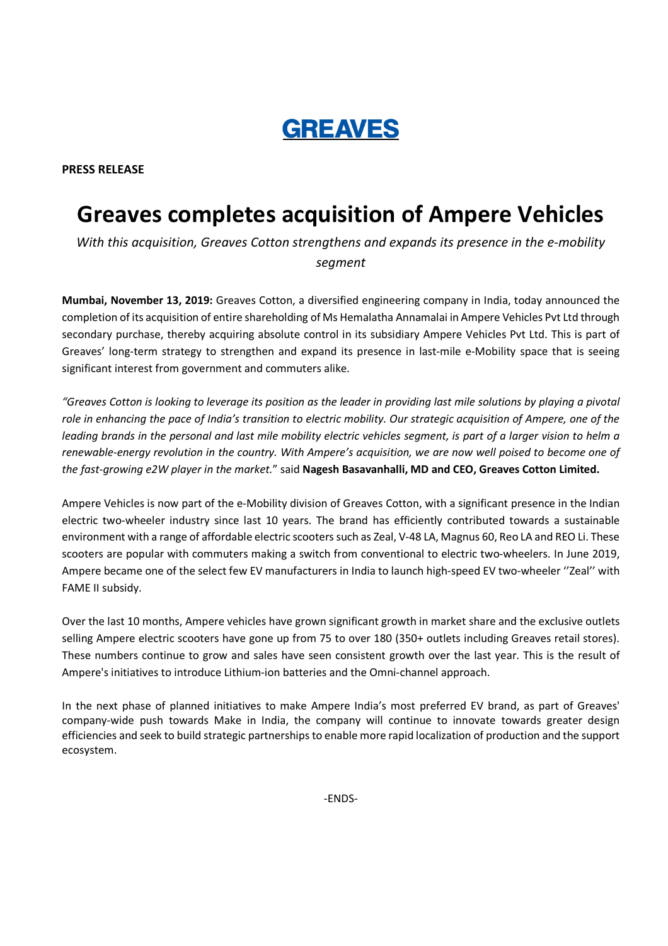# **GREAVES**

PRESS RELEASE

## Greaves completes acquisition of Ampere Vehicles

With this acquisition, Greaves Cotton strengthens and expands its presence in the e-mobility segment

Mumbai, November 13, 2019: Greaves Cotton, a diversified engineering company in India, today announced the completion of its acquisition of entire shareholding of Ms Hemalatha Annamalai in Ampere Vehicles Pvt Ltd through secondary purchase, thereby acquiring absolute control in its subsidiary Ampere Vehicles Pvt Ltd. This is part of Greaves' long-term strategy to strengthen and expand its presence in last-mile e-Mobility space that is seeing significant interest from government and commuters alike.

"Greaves Cotton is looking to leverage its position as the leader in providing last mile solutions by playing a pivotal role in enhancing the pace of India's transition to electric mobility. Our strategic acquisition of Ampere, one of the leading brands in the personal and last mile mobility electric vehicles segment, is part of a larger vision to helm a renewable-energy revolution in the country. With Ampere's acquisition, we are now well poised to become one of the fast-growing e2W player in the market." said Nagesh Basavanhalli, MD and CEO, Greaves Cotton Limited.

Ampere Vehicles is now part of the e-Mobility division of Greaves Cotton, with a significant presence in the Indian electric two-wheeler industry since last 10 years. The brand has efficiently contributed towards a sustainable environment with a range of affordable electric scooters such as Zeal, V-48 LA, Magnus 60, Reo LA and REO Li. These scooters are popular with commuters making a switch from conventional to electric two-wheelers. In June 2019, Ampere became one of the select few EV manufacturers in India to launch high-speed EV two-wheeler ''Zeal'' with FAME II subsidy.

Over the last 10 months, Ampere vehicles have grown significant growth in market share and the exclusive outlets selling Ampere electric scooters have gone up from 75 to over 180 (350+ outlets including Greaves retail stores). These numbers continue to grow and sales have seen consistent growth over the last year. This is the result of Ampere's initiatives to introduce Lithium-ion batteries and the Omni-channel approach.

In the next phase of planned initiatives to make Ampere India's most preferred EV brand, as part of Greaves' company-wide push towards Make in India, the company will continue to innovate towards greater design efficiencies and seek to build strategic partnerships to enable more rapid localization of production and the support ecosystem.

-ENDS-